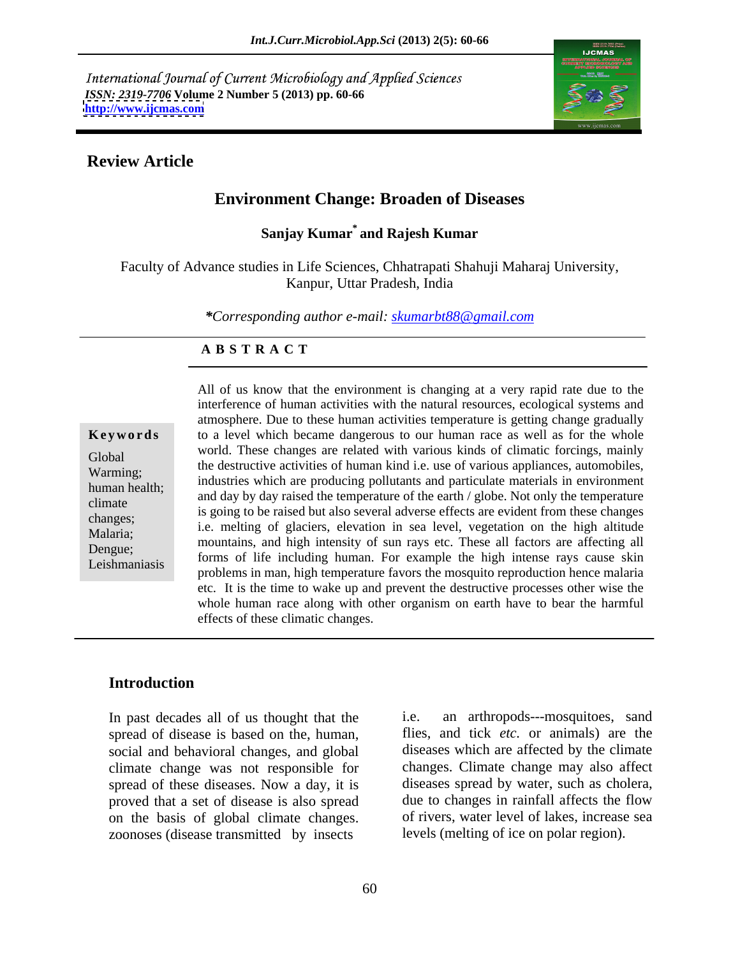International Journal of Current Microbiology and Applied Sciences *ISSN: 2319-7706* **Volume 2 Number 5 (2013) pp. 60-66 <http://www.ijcmas.com>**



## **Review Article**

# **Environment Change: Broaden of Diseases**

### **Sanjay Kumar\* and Rajesh Kumar**

Faculty of Advance studies in Life Sciences, Chhatrapati Shahuji Maharaj University, Kanpur, Uttar Pradesh, India

*\*Corresponding author e-mail: skumarbt88@gmail.com*

### **A B S T R A C T**

**Keywords** to a level which became dangerous to our human race as well as for the whole Global world. These changes are related with various kinds of chinatic forcings, mainly<br>Werming. the destructive activities of human kind i.e. use of various appliances, automobiles, Warming;<br>human hoalth: industries which are producing pollutants and particulate materials in environment human health;<br>and day by day raised the temperature of the earth / globe. Not only the temperature climate<br>
is going to be raised but also several adverse effects are evident from these changes<br>
changes changes;<br>Meleria: i.e. melting of glaciers, elevation in sea level, vegetation on the high altitude Malaria; The mountains, and high intensity of sun rays etc. These all factors are affecting all mountains, and high intensity of sun rays etc. These all factors are affecting all Dengue;<br>I eighnomiasie forms of life including human. For example the high intense rays cause skin Leishmaniasis problems in man, high temperature favors the mosquito reproduction hence malaria All of us know that the environment is changing at a very rapid rate due to the interference of human activities with the natural resources, ecological systems and atmosphere. Due to these human activities temperature is getting change gradually world. These changes are related with various kinds of climatic forcings, mainly etc. It is the time to wake up and prevent the destructive processes other wise the whole human race along with other organism on earth have to bear the harmful effects of these climatic changes.

### **Introduction**

In past decades all of us thought that the i.e. spread of disease is based on the, human, social and behavioral changes, and global climate change was not responsible for spread of these diseases. Now a day, it is diseases spread by water, such as cholera, proved that a set of disease is also spread due to changes in rainfall affects the flow proved that a set of disease is also spread on the basis of global climate changes. zoonoses (disease transmitted by insects

an arthropods---mosquitoes, sand flies, and tick *etc.* or animals) are the diseases which are affected by the climate changes. Climate change may also affect diseases spread by water, such as cholera, due to changes in rainfall affects the flow of rivers, water level of lakes, increase sea levels (melting of ice on polar region).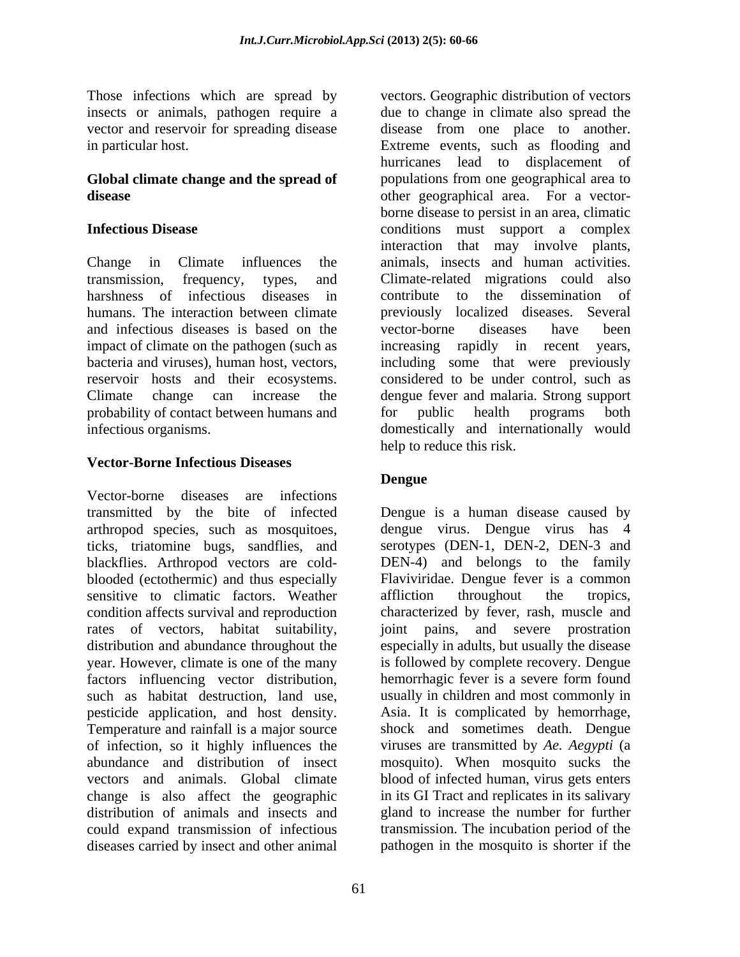Those infections which are spread by insects or animals, pathogen require a

and infectious diseases is based on the reservoir hosts and their ecosystems. probability of contact between humans and for public health programs both

## **Vector-Borne Infectious Diseases**

Vector-borne diseases are infections transmitted by the bite of infected Dengue is a human disease caused by arthropod species, such as mosquitoes, dengue virus. Dengue virus has 4 ticks, triatomine bugs, sandflies, and blackflies. Arthropod vectors are cold blooded (ectothermic) and thus especially Flaviviridae. Dengue fever is a common sensitive to climatic factors. Weather affliction throughout the tropics, condition affects survival and reproduction characterized by fever, rash, muscle and rates of vectors, habitat suitability, distribution and abundance throughout the year. However, climate is one of the many is followed by complete recovery. Dengue factors influencing vector distribution, hemorrhagic fever is a severe form found such as habitat destruction, land use, usually in children and most commonly in pesticide application, and host density. Temperature and rainfall is a major source of infection, so it highly influences the viruses are transmitted by *Ae. Aegypti* (a abundance and distribution of insect mosquito). When mosquito sucks the vectors and animals. Global climate blood of infected human, virus gets enters change is also affect the geographic distribution of animals and insects and gland to increase the number for further could expand transmission of infectious transmission. The incubation period of the diseases carried by insect and other animal

vector and reservoir for spreading disease disease from one place to another. in particular host. Extreme events, such as flooding and **Global climate change and the spread of** populations from one geographical area to **disease** other geographical area. For a vector- **Infectious Disease** conditions must support a complex Change in Climate influences the animals, insects and human activities. transmission, frequency, types, and Climate-related migrations could also harshness of infectious diseases in contribute to the dissemination of humans. The interaction between climate previously localized diseases. Several impact of climate on the pathogen (such as increasing rapidly in recent years, bacteria and viruses), human host, vectors, including some that were previously Climate change can increase the dengue fever and malaria. Strong support infectious organisms. domestically and internationally would vectors. Geographic distribution of vectors due to change in climate also spread the hurricanes lead to displacement of borne disease to persist in an area, climatic interaction that may involve plants, contribute to the dissemination of vector-borne diseases have been considered to be under control, such as for public health programs both help to reduce this risk.

# **Dengue**

serotypes (DEN-1, DEN-2, DEN-3 and DEN-4) and belongs to the family affliction throughout the tropics, joint pains, and severe prostration especially in adults, but usually the disease hemorrhagic fever is a severe form found Asia. It is complicated by hemorrhage, shock and sometimes death. Dengue in its GI Tract and replicates in its salivary pathogen in the mosquito is shorter if the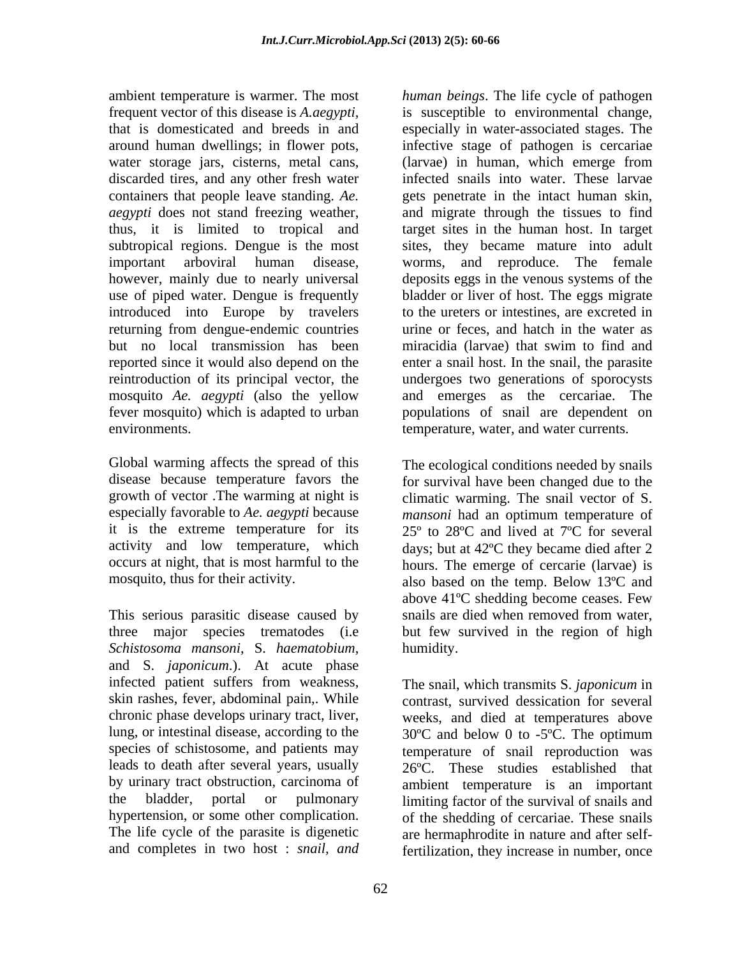ambient temperature is warmer. The most *human beings*. The life cycle of pathogen frequent vector of this disease is *A.aegypti*, is susceptible to environmental change, that is domesticated and breeds in and especially in water-associated stages. The around human dwellings; in flower pots, infective stage of pathogen is cercariae water storage jars, cisterns, metal cans, (larvae) in human, which emerge from discarded tires, and any other fresh water infected snails into water. These larvae containers that people leave standing. *Ae.*  gets penetrate in the intact human skin, *aegypti* does not stand freezing weather, and migrate through the tissues to find thus, it is limited to tropical and target sites in the human host. In target subtropical regions. Dengue is the most sites, they became mature into adult important arboviral human disease, however, mainly due to nearly universal deposits eggs in the venous systems of the use of piped water. Dengue is frequently introduced into Europe by travelers returning from dengue-endemic countries but no local transmission has been miracidia (larvae) that swim to find and reported since it would also depend on the enter a snail host. In the snail, the parasite reintroduction of its principal vector, the undergoes two generations of sporocysts mosquito *Ae. aegypti* (also the yellow fever mosquito) which is adapted to urban populations of snail are dependent on environments. temperature, water, and water currents.

This serious parasitic disease caused by snails are died when removed from water, three major species trematodes (i.e *Schistosoma mansoni*, S. *haematobium*, and S. *japonicum*.). At acute phase infected patient suffers from weakness,

(larvae) in human, which emerge from worms, and reproduce. The female bladder or liver of host. The eggs migrate to the ureters or intestines, are excreted in urine or feces, and hatch in the water as and emerges as the cercariae. The

Global warming affects the spread of this The ecological conditions needed by snails disease because temperature favors the for survival have been changed due to the growth of vector .The warming at night is climatic warming. The snail vector of S. especially favorable to *Ae. aegypti* because *mansoni* had an optimum temperature of it is the extreme temperature for its  $25^{\circ}$  to  $28^{\circ}$ C and lived at  $7^{\circ}$ C for several activity and low temperature, which days; but at 42ºC they became died after 2 occurs at night, that is most harmful to the hours. The emerge of cercarie (larvae) is mosquito, thus for their activity. also based on the temp. Below 13ºC and above 41ºC shedding become ceases. Few snails are died when removed from water, but few survived in the region of high humidity.

skin rashes, fever, abdominal pain,. While contrast, survived dessication for several chronic phase develops urinary tract, liver, weeks, and died at temperatures above lung, or intestinal disease, according to the 30ºC and below 0 to -5ºC. The optimum species of schistosome, and patients may temperature of snail reproduction was leads to death after several years, usually 26ºC. These studies established that by urinary tract obstruction, carcinoma of ambient temperature is an important the bladder, portal or pulmonary limiting factor of the survival of snails and hypertension, or some other complication. of the shedding of cercariae. These snails The life cycle of the parasite is digenetic are hermaphrodite in nature and after selfand completes in two host : *snail, and* fertilization, they increase in number, onceThe snail, which transmits S. *japonicum* in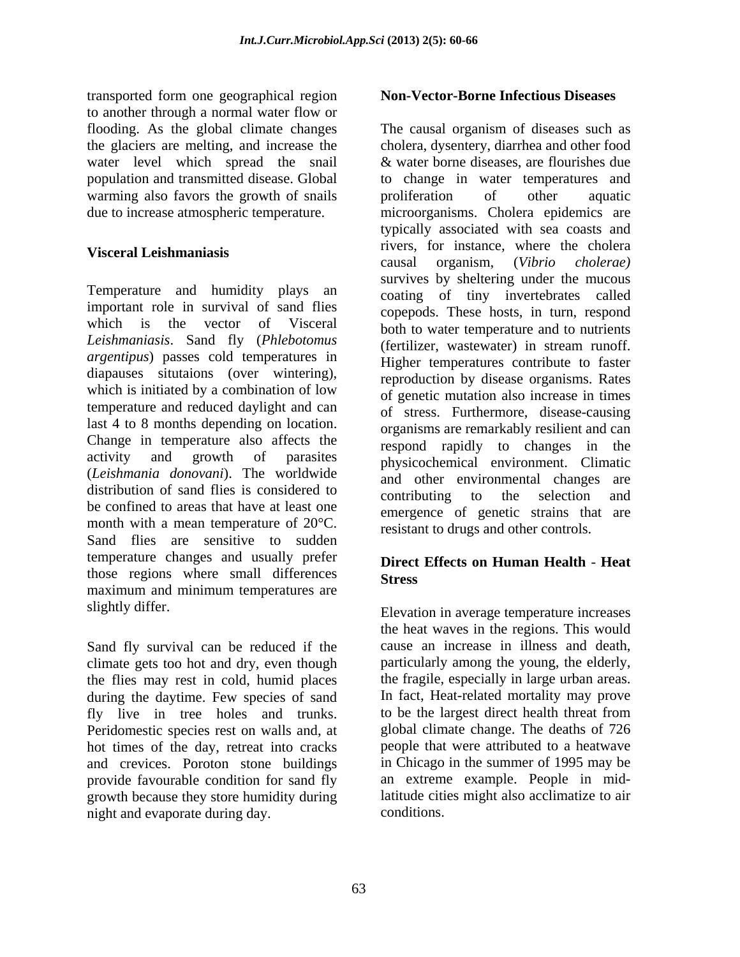transported form one geographical region to another through a normal water flow or flooding. As the global climate changes water level which spread the snail warming also favors the growth of snails broliferation of other aquatic

Temperature and humidity plays an important role in survival of sand flies which is the vector of Visceral both to water temperature and to nutrients *Leishmaniasis*. Sand fly (*Phlebotomus argentipus*) passes cold temperatures in diapauses situtaions (over wintering), which is initiated by a combination of low temperature and reduced daylight and can last 4 to 8 months depending on location. Change in temperature also affects the activity and growth of parasites physicochemical environment. Climatic (*Leishmania donovani*). The worldwide distribution of sand flies is considered to contributing to the selection and be confined to areas that have at least one month with a mean temperature of 20°C. Sand flies are sensitive to sudden temperature changes and usually prefer those regions where small differences Stress maximum and minimum temperatures are

Sand fly survival can be reduced if the climate gets too hot and dry, even though the flies may rest in cold, humid places during the daytime. Few species of sand<br>
In fact, Heat-related mortality may prove<br>
fly live in tree holes and trunks, to be the largest direct health threat from fly live in tree holes and trunks. Peridomestic species rest on walls and, at hot times of the day, retreat into cracks and crevices. Poroton stone buildings provide favourable condition for sand fly growth because they store humidity during night and evaporate during day.

### **Non-Vector-Borne Infectious Diseases**

the glaciers are melting, and increase the cholera, dysentery, diarrhea and other food population and transmitted disease. Global to change in water temperatures and due to increase atmospheric temperature. microorganisms. Cholera epidemics are Visceral Leishmaniasis and the second three contracts where the choicid The causal organism of diseases such as & water borne diseases, are flourishes due proliferation of other aquatic typically associated with sea coasts and rivers, for instance, where the cholera causal organism, (*Vibrio cholerae)* survives by sheltering under the mucous coating of tiny invertebrates called copepods. These hosts, in turn, respond (fertilizer, wastewater) in stream runoff. Higher temperatures contribute to faster reproduction by disease organisms. Rates of genetic mutation also increase in times of stress. Furthermore, disease-causing organisms are remarkably resilient and can respond rapidly to changes in the and other environmental changes contributing to the selection emergence of genetic strains that are resistant to drugs and other controls.

### **Direct Effects on Human Health** - **Heat Stress**

slightly differ. The same set of the set of the set of the set of the set of the set of the set of the set of the set of the set of the set of the set of the set of the set of the set of the set of the set of the set of th the heat waves in the regions. This would cause an increase in illness and death, particularly among the young, the elderly, the fragile, especially in large urban areas. In fact, Heat-related mortality may prove to be the largest direct health threat from global climate change. The deaths of 726 people that were attributed to a heatwave in Chicago in the summer of 1995 may be an extreme example. People in midlatitude cities might also acclimatize to air conditions.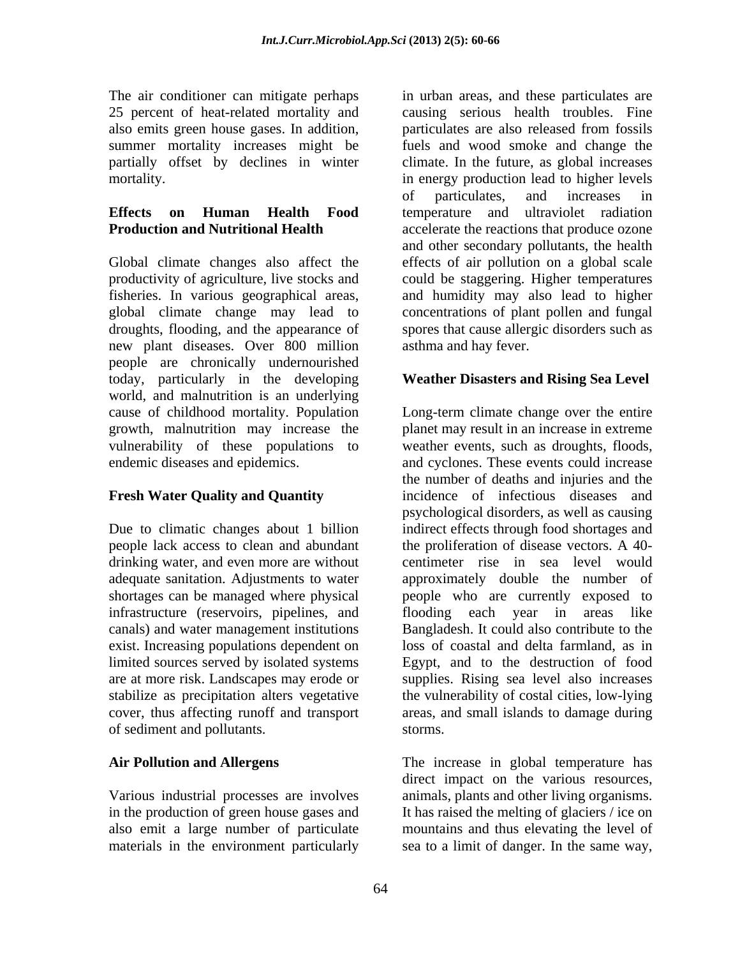25 percent of heat-related mortality and also emits green house gases. In addition,

Global climate changes also affect the effects of air pollution on a global scale productivity of agriculture, live stocks and could be staggering. Higher temperatures fisheries. In various geographical areas, global climate change may lead to droughts, flooding, and the appearance of new plant diseases. Over 800 million people are chronically undernourished today, particularly in the developing world, and malnutrition is an underlying vulnerability of these populations to weather events, such as droughts, floods, endemic diseases and epidemics. and exclones. These events could increase

drinking water, and even more are without infrastructure (reservoirs, pipelines, and flooding each year in areas like canals) and water management institutions exist. Increasing populations dependent on of sediment and pollutants.

materials in the environment particularly sea to a limit of danger. In the same way,

The air conditioner can mitigate perhaps in urban areas, and these particulates are summer mortality increases might be fuels and wood smoke and change the partially offset by declines in winter climate. In the future, as global increases mortality. in energy production lead to higher levels **Effects on Human Health Food Production and Nutritional Health** accelerate the reactions that produce ozone causing serious health troubles. Fine particulates are also released from fossils of particulates, and increases in temperature and ultraviolet radiation and other secondary pollutants, the health and humidity may also lead to higher concentrations of plant pollen and fungal spores that cause allergic disorders such as asthma and hay fever.

### **Weather Disasters and Rising Sea Level**

cause of childhood mortality. Population Long-term climate change over the entire growth, malnutrition may increase the planet may result in an increase in extreme **Fresh Water Quality and Quantity** incidence of infectious diseases and Due to climatic changes about 1 billion indirect effects through food shortages and people lack access to clean and abundant the proliferation of disease vectors. A 40 adequate sanitation. Adjustments to water approximately double the number of shortages can be managed where physical people who are currently exposed to limited sources served by isolated systems Egypt, and to the destruction of food are at more risk. Landscapes may erode or supplies. Rising sea level also increases stabilize as precipitation alters vegetative the vulnerability of costal cities, low-lying cover, thus affecting runoff and transport areas, and small islands to damage during weather events, such as droughts, floods,<br>and cyclones. These events could increase the number of deaths and injuries and the psychological disorders, as well as causing centimeter rise in sea level would flooding each year in areas Bangladesh. It could also contribute to the loss of coastal and delta farmland, as in storms.

**Air Pollution and Allergens** The increase in global temperature has Various industrial processes are involves animals, plants and other living organisms. in the production of green house gases and It has raised the melting of glaciers / ice on also emit a large number of particulate mountains and thus elevating the level of direct impact on the various resources,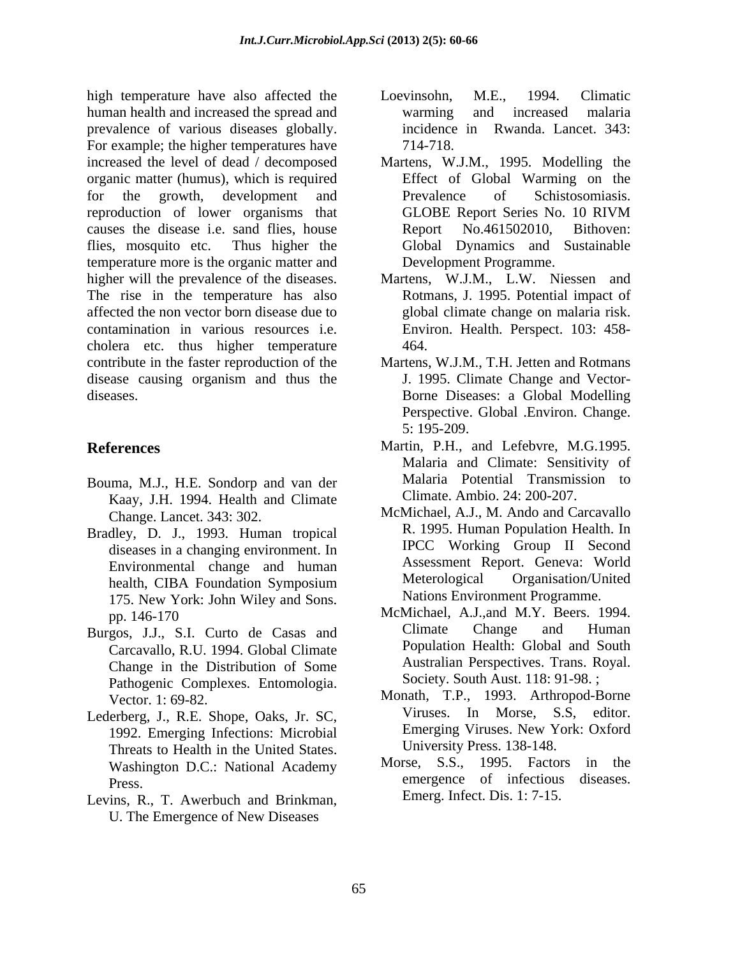high temperature have also affected the Loevinsohn, M.E., 1994. Climatic human health and increased the spread and warming and increased malaria prevalence of various diseases globally. For example; the higher temperatures have  $714-718$ . increased the level of dead / decomposed Martens, W.J.M., 1995. Modelling the organic matter (humus), which is required for the growth, development and Prevalence of Schistosomiasis. reproduction of lower organisms that GLOBE Report Series No. 10 RIVM causes the disease i.e. sand flies, house Report No.461502010. Bithoven: flies, mosquito etc. Thus higher the temperature more is the organic matter and higher will the prevalence of the diseases. Martens, W.J.M., L.W. Niessen and The rise in the temperature has also affected the non vector born disease due to contamination in various resources i.e. Environ. Health. Perspect. 103: 458 cholera etc. thus higher temperature 464. contribute in the faster reproduction of the Martens, W.J.M., T.H. Jetten and Rotmans disease causing organism and thus the diseases. Borne Diseases: a Global Modelling

- Bouma, M.J., H.E. Sondorp and van der Kaay, J.H. 1994. Health and Climate
- Bradley, D. J., 1993. Human tropical diseases in a changing environment. In 175. New York: John Wiley and Sons.
- Carcavallo, R.U. 1994. Global Climate Change in the Distribution of Some Pathogenic Complexes. Entomologia.
- Lederberg, J., R.E. Shope, Oaks, Jr. SC, 1992. Emerging Infections: Microbial Threats to Health in the United States. Washington D.C.: National Academy
- Levins, R., T. Awerbuch and Brinkman, U. The Emergence of New Diseases
- Loevinsohn, M.E., 1994. Climatic warming and increased malaria incidence in Rwanda. Lancet. 343: 714-718.
- Effect of Global Warming on the Prevalence of Schistosomiasis. GLOBE Report Series No.10 RIVM Report No.461502010, Bithoven: Global Dynamics and Sustainable
- Development Programme. Martens, W.J.M., L.W. Niessen and Rotmans, J. 1995. Potential impact of global climate change on malaria risk. 464.
- J. 1995. Climate Change and Vector- Perspective. Global .Environ. Change. 5: 195-209.
- **References** Martin, P.H., and Lefebvre, M.G.1995. Malaria and Climate: Sensitivity of Malaria Potential Transmission to Climate. Ambio. 24: 200-207.
	- Change. Lancet. 343: 302. McMichael, A.J., M. Ando and Carcavallo Environmental change and human all assessment Report. Geneva: World<br>health CIBA Foundation Symposium Meterological Organisation/United health, CIBA Foundation Symposium R. 1995. Human Population Health. In IPCC Working Group II Second Assessment Report. Geneva: World Meterological Organisation/United Nations Environment Programme.
- pp. 146-170 MCMIchael, A.J., and M.Y. Beers. 1994. Burgos, J.J., S.I. Curto de Casas and Climate Change and Human McMichael, A.J.,and M.Y. Beers. 1994. Climate Change and Human Population Health: Global and South Australian Perspectives. Trans. Royal. Society. South Aust. 118: 91-98. ;
	- Vector. 1: 69-82. Monath, T.P., 1993. Arthropod-Borne Viruses. In Morse, S.S, editor. Emerging Viruses. New York: Oxford University Press. 138-148.
	- Press. Morse, S.S., 1995. Factors in the Emerg. Infect. Dis. 1: 7-15.